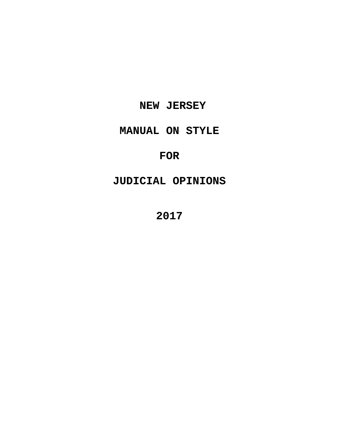## **NEW JERSEY**

# **MANUAL ON STYLE**

## **FOR**

# **JUDICIAL OPINIONS**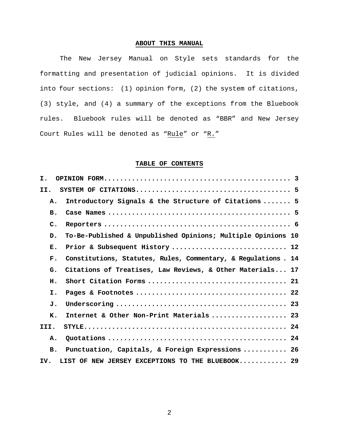## **ABOUT THIS MANUAL**

The New Jersey Manual on Style sets standards for the formatting and presentation of judicial opinions. It is divided into four sections: (1) opinion form, (2) the system of citations, (3) style, and (4) a summary of the exceptions from the Bluebook rules. Bluebook rules will be denoted as "BBR" and New Jersey Court Rules will be denoted as "Rule" or "R."

## **TABLE OF CONTENTS**

| I.                                                                               |  |
|----------------------------------------------------------------------------------|--|
| II.                                                                              |  |
| Introductory Signals & the Structure of Citations  5<br>Α.                       |  |
| в.                                                                               |  |
| $\mathsf{C}$ .                                                                   |  |
| To-Be-Published & Unpublished Opinions; Multiple Opinions 10<br>D.               |  |
| Prior & Subsequent History  12<br>Е.                                             |  |
| $\mathbf{F}$ .<br>Constitutions, Statutes, Rules, Commentary, & Regulations . 14 |  |
| Citations of Treatises, Law Reviews, & Other Materials 17<br>G.                  |  |
| н.                                                                               |  |
| I.                                                                               |  |
| J.                                                                               |  |
| Internet & Other Non-Print Materials  23<br>K.                                   |  |
| III.                                                                             |  |
| Α.                                                                               |  |
| Punctuation, Capitals, & Foreign Expressions  26<br><b>B.</b>                    |  |
| LIST OF NEW JERSEY EXCEPTIONS TO THE BLUEBOOK 29<br>IV.                          |  |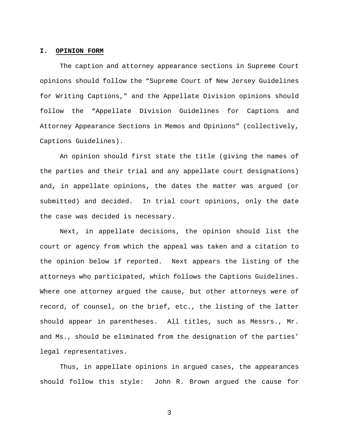## **I. OPINION FORM**

The caption and attorney appearance sections in Supreme Court opinions should follow the "Supreme Court of New Jersey Guidelines for Writing Captions," and the Appellate Division opinions should follow the "Appellate Division Guidelines for Captions and Attorney Appearance Sections in Memos and Opinions" (collectively, Captions Guidelines).

 An opinion should first state the title (giving the names of the parties and their trial and any appellate court designations) and**,** in appellate opinions**,** the dates the matter was argued (or submitted) and decided. In trial court opinions, only the date the case was decided is necessary.

Next, in appellate decisions, the opinion should list the court or agency from which the appeal was taken and a citation to the opinion below if reported. Next appears the listing of the attorneys who participated, which follows the Captions Guidelines. Where one attorney argued the cause, but other attorneys were of record, of counsel, on the brief, etc., the listing of the latter should appear in parentheses. All titles, such as Messrs., Mr. and Ms., should be eliminated from the designation of the parties' legal representatives.

Thus, in appellate opinions in argued cases, the appearances should follow this style: John R. Brown argued the cause for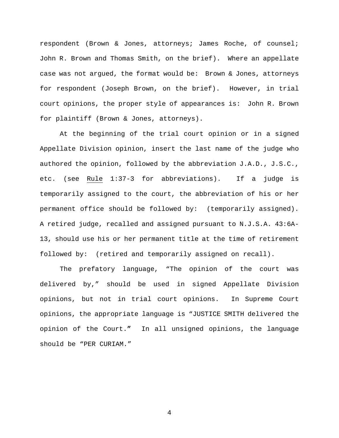respondent (Brown & Jones, attorneys; James Roche, of counsel; John R. Brown and Thomas Smith, on the brief).Where an appellate case was not argued, the format would be: Brown & Jones, attorneys for respondent (Joseph Brown, on the brief). However, in trial court opinions, the proper style of appearances is: John R. Brown for plaintiff (Brown & Jones, attorneys).

At the beginning of the trial court opinion or in a signed Appellate Division opinion, insert the last name of the judge who authored the opinion, followed by the abbreviation J.A.D., J.S.C., etc. (see Rule 1:37-3 for abbreviations). If a judge is temporarily assigned to the court, the abbreviation of his or her permanent office should be followed by: (temporarily assigned). A retired judge, recalled and assigned pursuant to N.J.S.A. 43:6A-13, should use his or her permanent title at the time of retirement followed by: (retired and temporarily assigned on recall).

The prefatory language, "The opinion of the court was delivered by," should be used in signed Appellate Division opinions, but not in trial court opinions. In Supreme Court opinions, the appropriate language is "JUSTICE SMITH delivered the opinion of the Court.**"** In all unsigned opinions, the language should be "PER CURIAM."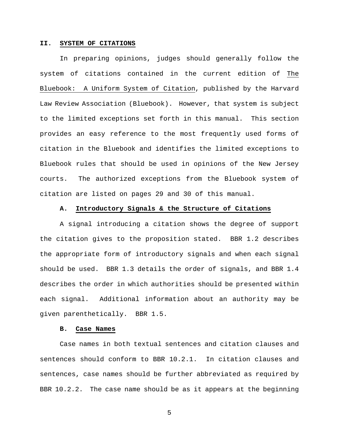### **II. SYSTEM OF CITATIONS**

In preparing opinions, judges should generally follow the system of citations contained in the current edition of The Bluebook: A Uniform System of Citation, published by the Harvard Law Review Association (Bluebook). However, that system is subject to the limited exceptions set forth in this manual. This section provides an easy reference to the most frequently used forms of citation in the Bluebook and identifies the limited exceptions to Bluebook rules that should be used in opinions of the New Jersey courts. The authorized exceptions from the Bluebook system of citation are listed on pages 29 and 30 of this manual.

#### **A. Introductory Signals & the Structure of Citations**

A signal introducing a citation shows the degree of support the citation gives to the proposition stated. BBR 1.2 describes the appropriate form of introductory signals and when each signal should be used. BBR 1.3 details the order of signals, and BBR 1.4 describes the order in which authorities should be presented within each signal. Additional information about an authority may be given parenthetically. BBR 1.5.

## **B. Case Names**

Case names in both textual sentences and citation clauses and sentences should conform to BBR 10.2.1. In citation clauses and sentences, case names should be further abbreviated as required by BBR 10.2.2. The case name should be as it appears at the beginning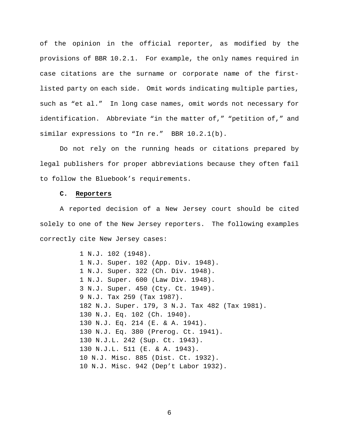of the opinion in the official reporter, as modified by the provisions of BBR 10.2.1. For example, the only names required in case citations are the surname or corporate name of the firstlisted party on each side. Omit words indicating multiple parties, such as "et al." In long case names, omit words not necessary for identification. Abbreviate "in the matter of," "petition of," and similar expressions to "In re." BBR 10.2.1(b).

Do not rely on the running heads or citations prepared by legal publishers for proper abbreviations because they often fail to follow the Bluebook's requirements.

## **C. Reporters**

A reported decision of a New Jersey court should be cited solely to one of the New Jersey reporters. The following examples correctly cite New Jersey cases:

> 1 N.J. 102 (1948). 1 N.J. Super. 102 (App. Div. 1948). 1 N.J. Super. 322 (Ch. Div. 1948). 1 N.J. Super. 600 (Law Div. 1948). 3 N.J. Super. 450 (Cty. Ct. 1949). 9 N.J. Tax 259 (Tax 1987). 182 N.J. Super. 179, 3 N.J. Tax 482 (Tax 1981). 130 N.J. Eq. 102 (Ch. 1940). 130 N.J. Eq. 214 (E. & A. 1941). 130 N.J. Eq. 380 (Prerog. Ct. 1941). 130 N.J.L. 242 (Sup. Ct. 1943). 130 N.J.L. 511 (E. & A. 1943). 10 N.J. Misc. 885 (Dist. Ct. 1932). 10 N.J. Misc. 942 (Dep't Labor 1932).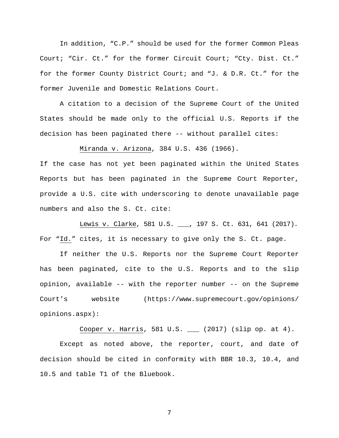In addition, "C.P." should be used for the former Common Pleas Court; "Cir. Ct." for the former Circuit Court; "Cty. Dist. Ct." for the former County District Court; and "J. & D.R. Ct." for the former Juvenile and Domestic Relations Court.

A citation to a decision of the Supreme Court of the United States should be made only to the official U.S. Reports if the decision has been paginated there -- without parallel cites:

Miranda v. Arizona, 384 U.S. 436 (1966).

If the case has not yet been paginated within the United States Reports but has been paginated in the Supreme Court Reporter, provide a U.S. cite with underscoring to denote unavailable page numbers and also the S. Ct. cite:

Lewis v. Clarke, 581 U.S. \_\_\_, 197 S. Ct. 631, 641 (2017)*.*  For "Id." cites, it is necessary to give only the S. Ct. page.

If neither the U.S. Reports nor the Supreme Court Reporter has been paginated, cite to the U.S. Reports and to the slip opinion, available -- with the reporter number -- on the Supreme Court's website (https://www.supremecourt.gov/opinions/ opinions.aspx):

Cooper v. Harris, 581 U.S. \_\_\_ (2017) (slip op. at 4).

 Except as noted above, the reporter, court, and date of decision should be cited in conformity with BBR 10.3, 10.4, and 10.5 and table T1 of the Bluebook.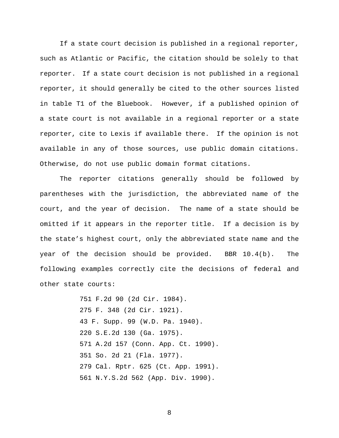If a state court decision is published in a regional reporter, such as Atlantic or Pacific, the citation should be solely to that reporter. If a state court decision is not published in a regional reporter, it should generally be cited to the other sources listed in table T1 of the Bluebook. However, if a published opinion of a state court is not available in a regional reporter or a state reporter, cite to Lexis if available there. If the opinion is not available in any of those sources, use public domain citations. Otherwise, do not use public domain format citations.

The reporter citations generally should be followed by parentheses with the jurisdiction, the abbreviated name of the court, and the year of decision. The name of a state should be omitted if it appears in the reporter title. If a decision is by the state's highest court, only the abbreviated state name and the year of the decision should be provided. BBR 10.4(b). The following examples correctly cite the decisions of federal and other state courts:

> 751 F.2d 90 (2d Cir. 1984). 275 F. 348 (2d Cir. 1921). 43 F. Supp. 99 (W.D. Pa. 1940). 220 S.E.2d 130 (Ga. 1975). 571 A.2d 157 (Conn. App. Ct. 1990). 351 So. 2d 21 (Fla. 1977). 279 Cal. Rptr. 625 (Ct. App. 1991). 561 N.Y.S.2d 562 (App. Div. 1990).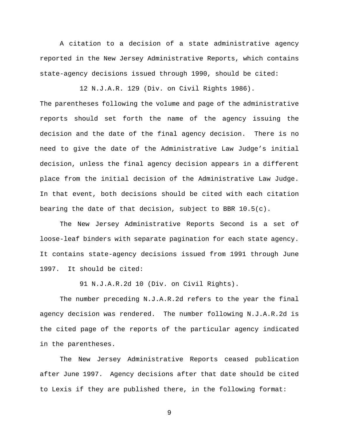A citation to a decision of a state administrative agency reported in the New Jersey Administrative Reports, which contains state-agency decisions issued through 1990, should be cited:

12 N.J.A.R. 129 (Div. on Civil Rights 1986).

The parentheses following the volume and page of the administrative reports should set forth the name of the agency issuing the decision and the date of the final agency decision. There is no need to give the date of the Administrative Law Judge's initial decision, unless the final agency decision appears in a different place from the initial decision of the Administrative Law Judge. In that event, both decisions should be cited with each citation bearing the date of that decision, subject to BBR 10.5(c).

The New Jersey Administrative Reports Second is a set of loose-leaf binders with separate pagination for each state agency. It contains state-agency decisions issued from 1991 through June 1997. It should be cited:

91 N.J.A.R.2d 10 (Div. on Civil Rights).

 The number preceding N.J.A.R.2d refers to the year the final agency decision was rendered. The number following N.J.A.R.2d is the cited page of the reports of the particular agency indicated in the parentheses.

 The New Jersey Administrative Reports ceased publication after June 1997. Agency decisions after that date should be cited to Lexis if they are published there, in the following format: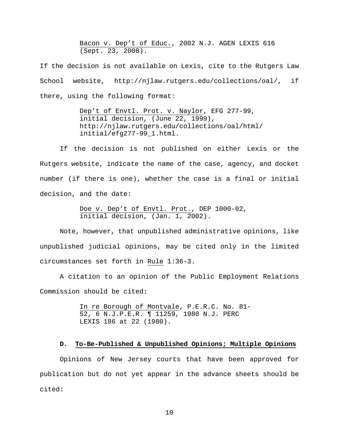Bacon v. Dep't of Educ., 2002 N.J. AGEN LEXIS 616 (Sept. 23, 2008).

If the decision is not available on Lexis, cite to the Rutgers Law School website, http://njlaw.rutgers.edu/collections/oal/, if there, using the following format:

> Dep't of Envtl. Prot. v. Naylor, EFG 277-99, initial decision, (June 22, 1999), http://njlaw.rutgers.edu/collections/oal/html/ initial/efg277-99\_1.html.

If the decision is not published on either Lexis or the Rutgers website, indicate the name of the case, agency, and docket number (if there is one), whether the case is a final or initial decision, and the date:

> Doe v. Dep't of Envtl. Prot., DEP 1000-02, initial decision, (Jan. 1, 2002).

Note, however, that unpublished administrative opinions, like unpublished judicial opinions, may be cited only in the limited circumstances set forth in Rule 1:36-3.

 A citation to an opinion of the Public Employment Relations Commission should be cited:

> In re Borough of Montvale, P.E.R.C. No. 81- 52, 6 N.J.P.E.R. ¶ 11259, 1980 N.J. PERC LEXIS 186 at 22 (1980).

## **D. To-Be-Published & Unpublished Opinions; Multiple Opinions**

Opinions of New Jersey courts that have been approved for publication but do not yet appear in the advance sheets should be cited: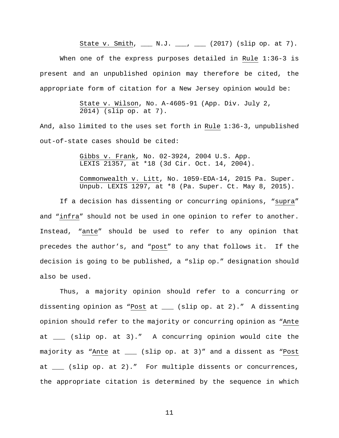State v. Smith,  $\frac{1}{2}$  N.J.  $\frac{1}{2}$ ,  $\frac{1}{2}$  (2017) (slip op. at 7).

When one of the express purposes detailed in Rule 1:36-3 is present and an unpublished opinion may therefore be cited, the appropriate form of citation for a New Jersey opinion would be:

> State v. Wilson, No. A-4605-91 (App. Div. July 2, 2014) (slip op. at 7).

And, also limited to the uses set forth in Rule 1:36-3, unpublished out-of-state cases should be cited:

> Gibbs v. Frank, No. 02-3924, 2004 U.S. App. LEXIS 21357, at \*18 (3d Cir. Oct. 14, 2004).

Commonwealth v. Litt, No. 1059-EDA-14, 2015 Pa. Super. Unpub. LEXIS 1297, at \*8 (Pa. Super. Ct. May 8, 2015).

 If a decision has dissenting or concurring opinions, "supra" and "infra" should not be used in one opinion to refer to another. Instead, "ante" should be used to refer to any opinion that precedes the author's, and "post" to any that follows it. If the decision is going to be published, a "slip op." designation should also be used.

Thus, a majority opinion should refer to a concurring or dissenting opinion as "Post at \_\_\_ (slip op. at 2)." A dissenting opinion should refer to the majority or concurring opinion as "Ante at \_\_\_ (slip op. at 3)." A concurring opinion would cite the majority as "Ante at \_\_\_ (slip op. at 3)" and a dissent as "Post at \_\_\_ (slip op. at 2)." For multiple dissents or concurrences, the appropriate citation is determined by the sequence in which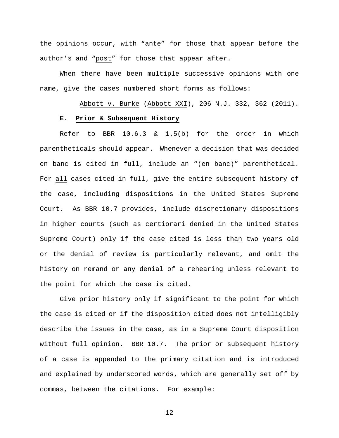the opinions occur, with "ante" for those that appear before the author's and "post" for those that appear after.

When there have been multiple successive opinions with one name, give the cases numbered short forms as follows:

Abbott v. Burke (Abbott XXI), 206 N.J. 332, 362 (2011). **E. Prior & Subsequent History**

Refer to BBR 10.6.3 & 1.5(b) for the order in which parentheticals should appear. Whenever a decision that was decided en banc is cited in full, include an "(en banc)" parenthetical. For all cases cited in full, give the entire subsequent history of the case, including dispositions in the United States Supreme Court. As BBR 10.7 provides, include discretionary dispositions in higher courts (such as certiorari denied in the United States Supreme Court) only if the case cited is less than two years old or the denial of review is particularly relevant, and omit the history on remand or any denial of a rehearing unless relevant to the point for which the case is cited.

Give prior history only if significant to the point for which the case is cited or if the disposition cited does not intelligibly describe the issues in the case, as in a Supreme Court disposition without full opinion. BBR 10.7. The prior or subsequent history of a case is appended to the primary citation and is introduced and explained by underscored words, which are generally set off by commas, between the citations. For example: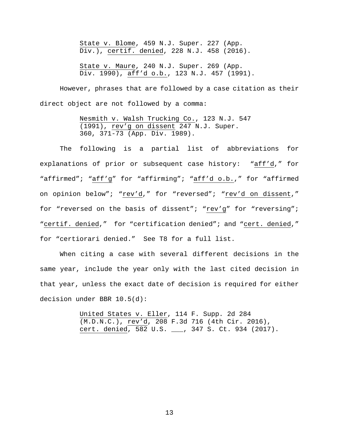State v. Blome, 459 N.J. Super. 227 (App. Div.), certif. denied, 228 N.J. 458 (2016).

State v. Maure, 240 N.J. Super. 269 (App. Div. 1990), aff'd o.b., 123 N.J. 457 (1991).

However, phrases that are followed by a case citation as their direct object are not followed by a comma:

> Nesmith v. Walsh Trucking Co., 123 N.J. 547 (1991), rev'g on dissent 247 N.J. Super. 360, 371-73 (App. Div. 1989).

The following is a partial list of abbreviations for explanations of prior or subsequent case history: "aff'd," for "affirmed"; "aff'g" for "affirming"; "aff'd o.b.," for "affirmed on opinion below"; "rev'd," for "reversed"; "rev'd on dissent," for "reversed on the basis of dissent"; "rev'g" for "reversing"; "certif. denied," for "certification denied"; and "cert. denied," for "certiorari denied." See T8 for a full list.

When citing a case with several different decisions in the same year, include the year only with the last cited decision in that year, unless the exact date of decision is required for either decision under BBR 10.5(d):

> United States v. Eller, 114 F. Supp. 2d 284 (M.D.N.C.), rev'd, 208 F.3d 716 (4th Cir. 2016), cert. denied, 582 U.S. \_\_\_, 347 S. Ct. 934 (2017).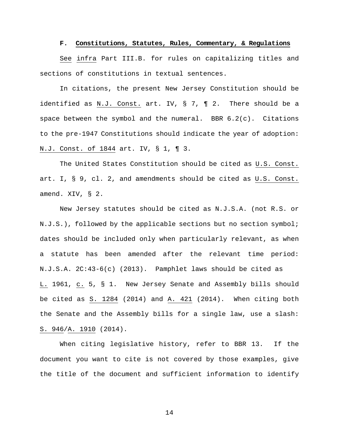#### **F. Constitutions, Statutes, Rules, Commentary, & Regulations**

 See infra Part III.B. for rules on capitalizing titles and sections of constitutions in textual sentences.

In citations, the present New Jersey Constitution should be identified as N.J. Const. art. IV, § 7, ¶ 2. There should be a space between the symbol and the numeral. BBR 6.2(c).Citations to the pre-1947 Constitutions should indicate the year of adoption: N.J. Const. of 1844 art. IV, § 1, ¶ 3.

The United States Constitution should be cited as U.S. Const. art. I, § 9, cl. 2, and amendments should be cited as U.S. Const. amend. XIV, § 2.

 New Jersey statutes should be cited as N.J.S.A. (not R.S. or N.J.S.), followed by the applicable sections but no section symbol; dates should be included only when particularly relevant, as when a statute has been amended after the relevant time period: N.J.S.A. 2C:43-6(c) (2013). Pamphlet laws should be cited as L. 1961, c. 5, § 1. New Jersey Senate and Assembly bills should be cited as S. 1284 (2014) and A. 421 (2014). When citing both the Senate and the Assembly bills for a single law, use a slash: S. 946/A. 1910 (2014).

When citing legislative history, refer to BBR 13. If the document you want to cite is not covered by those examples, give the title of the document and sufficient information to identify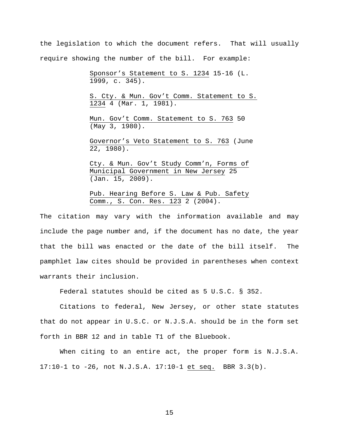the legislation to which the document refers. That will usually require showing the number of the bill. For example:

> Sponsor's Statement to S. 1234 15-16 (L. 1999, c. 345).

S. Cty. & Mun. Gov't Comm. Statement to S. 1234 4 (Mar. 1, 1981).

Mun. Gov't Comm. Statement to S. 763 50 (May 3, 1980).

Governor's Veto Statement to S. 763 (June 22, 1980).

Cty. & Mun. Gov't Study Comm'n, Forms of Municipal Government in New Jersey 25 (Jan. 15, 2009).

Pub. Hearing Before S. Law & Pub. Safety Comm., S. Con. Res. 123 2 (2004).

The citation may vary with the information available and may include the page number and, if the document has no date, the year that the bill was enacted or the date of the bill itself. The pamphlet law cites should be provided in parentheses when context warrants their inclusion.

Federal statutes should be cited as 5 U.S.C. § 352.

Citations to federal, New Jersey, or other state statutes that do not appear in U.S.C. or N.J.S.A. should be in the form set forth in BBR 12 and in table T1 of the Bluebook.

When citing to an entire act, the proper form is N.J.S.A. 17:10-1 to -26, not N.J.S.A. 17:10-1 et seq. BBR 3.3(b).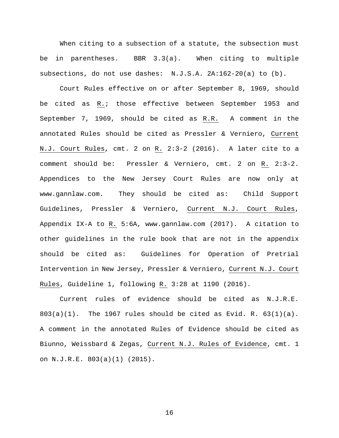When citing to a subsection of a statute, the subsection must be in parentheses. BBR 3.3(a). When citing to multiple subsections, do not use dashes: N.J.S.A. 2A:162-20(a) to (b).

 Court Rules effective on or after September 8, 1969, should be cited as R.; those effective between September 1953 and September 7, 1969, should be cited as R.R. A comment in the annotated Rules should be cited as Pressler & Verniero, Current N.J. Court Rules, cmt. 2 on R. 2:3-2 (2016). A later cite to a comment should be: Pressler & Verniero, cmt. 2 on R. 2:3-2. Appendices to the New Jersey Court Rules are now only at www.gannlaw.com. They should be cited as: Child Support Guidelines, Pressler & Verniero, Current N.J. Court Rules, Appendix IX-A to R. 5:6A, www.gannlaw.com (2017). A citation to other guidelines in the rule book that are not in the appendix should be cited as: Guidelines for Operation of Pretrial Intervention in New Jersey, Pressler & Verniero, Current N.J. Court Rules, Guideline 1, following R. 3:28 at 1190 (2016).

 Current rules of evidence should be cited as N.J.R.E.  $803(a)(1)$ . The 1967 rules should be cited as Evid. R.  $63(1)(a)$ . A comment in the annotated Rules of Evidence should be cited as Biunno, Weissbard & Zegas, Current N.J. Rules of Evidence, cmt. 1 on N.J.R.E. 803(a)(1) (2015).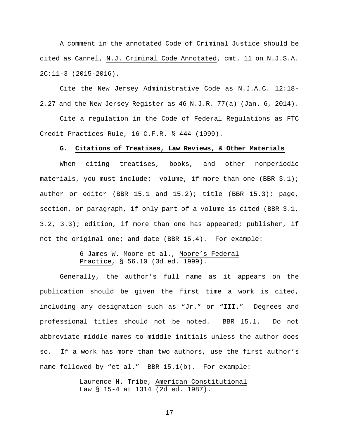A comment in the annotated Code of Criminal Justice should be cited as Cannel, N.J. Criminal Code Annotated, cmt. 11 on N.J.S.A. 2C:11-3 (2015-2016).

Cite the New Jersey Administrative Code as N.J.A.C. 12:18- 2.27 and the New Jersey Register as 46 N.J.R. 77(a) (Jan. 6, 2014).

Cite a regulation in the Code of Federal Regulations as FTC Credit Practices Rule, 16 C.F.R. § 444 (1999).

## **G. Citations of Treatises, Law Reviews, & Other Materials**

When citing treatises, books, and other nonperiodic materials, you must include: volume, if more than one (BBR 3.1); author or editor (BBR 15.1 and 15.2); title (BBR 15.3); page, section, or paragraph, if only part of a volume is cited (BBR 3.1, 3.2, 3.3); edition, if more than one has appeared; publisher, if not the original one; and date (BBR 15.4). For example:

## 6 James W. Moore et al., Moore's Federal Practice, § 56.10 (3d ed. 1999).

Generally, the author's full name as it appears on the publication should be given the first time a work is cited, including any designation such as "Jr." or "III." Degrees and professional titles should not be noted. BBR 15.1. Do not abbreviate middle names to middle initials unless the author does so. If a work has more than two authors, use the first author's name followed by "et al." BBR 15.1(b). For example:

> Laurence H. Tribe, American Constitutional Law § 15-4 at 1314 (2d ed. 1987).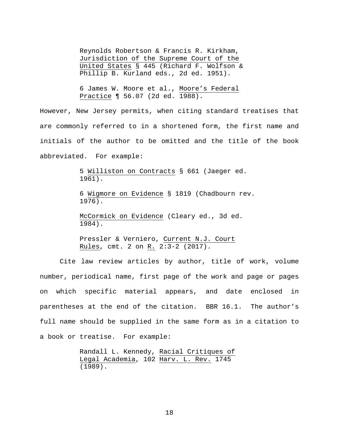Reynolds Robertson & Francis R. Kirkham, Jurisdiction of the Supreme Court of the United States § 445 (Richard F. Wolfson & Phillip B. Kurland eds., 2d ed. 1951).

6 James W. Moore et al., Moore's Federal Practice ¶ 56.07 (2d ed. 1988).

However, New Jersey permits, when citing standard treatises that are commonly referred to in a shortened form, the first name and initials of the author to be omitted and the title of the book abbreviated. For example:

> 5 Williston on Contracts § 661 (Jaeger ed. 1961).

6 Wigmore on Evidence § 1819 (Chadbourn rev. 1976).

McCormick on Evidence (Cleary ed., 3d ed. 1984).

Pressler & Verniero, Current N.J. Court Rules, cmt. 2 on R. 2:3-2 (2017).

Cite law review articles by author, title of work, volume number, periodical name, first page of the work and page or pages on which specific material appears, and date enclosed in parentheses at the end of the citation. BBR 16.1. The author's full name should be supplied in the same form as in a citation to a book or treatise. For example:

> Randall L. Kennedy, Racial Critiques of Legal Academia, 102 Harv. L. Rev. 1745 (1989).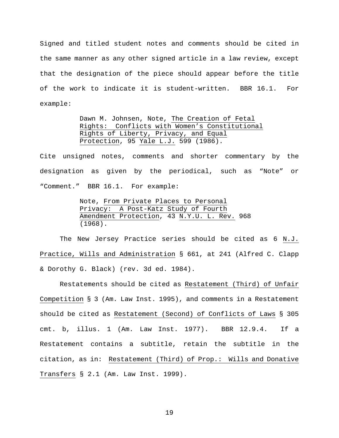Signed and titled student notes and comments should be cited in the same manner as any other signed article in a law review, except that the designation of the piece should appear before the title of the work to indicate it is student-written. BBR 16.1. For example:

> Dawn M. Johnsen, Note, The Creation of Fetal Rights: Conflicts with Women's Constitutional Rights of Liberty, Privacy, and Equal Protection, 95 Yale L.J. 599 (1986).

Cite unsigned notes, comments and shorter commentary by the designation as given by the periodical, such as "Note" or "Comment." BBR 16.1. For example:

> Note, From Private Places to Personal Privacy: A Post-Katz Study of Fourth Amendment Protection, 43 N.Y.U. L. Rev. 968 (1968).

The New Jersey Practice series should be cited as 6 N.J. Practice, Wills and Administration § 661, at 241 (Alfred C. Clapp & Dorothy G. Black) (rev. 3d ed. 1984).

Restatements should be cited as Restatement (Third) of Unfair Competition § 3 (Am. Law Inst. 1995), and comments in a Restatement should be cited as Restatement (Second) of Conflicts of Laws § 305 cmt. b, illus. 1 (Am. Law Inst. 1977). BBR 12.9.4. If a Restatement contains a subtitle, retain the subtitle in the citation, as in: Restatement (Third) of Prop.: Wills and Donative Transfers § 2.1 (Am. Law Inst. 1999).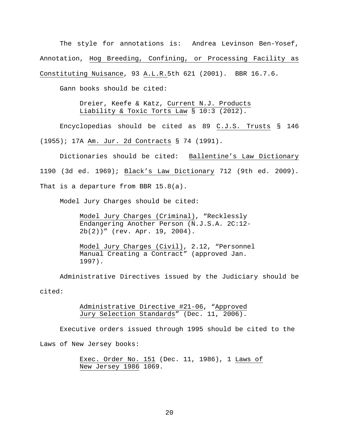The style for annotations is: Andrea Levinson Ben-Yosef, Annotation, Hog Breeding, Confining, or Processing Facility as Constituting Nuisance, 93 A.L.R.5th 621 (2001). BBR 16.7.6.

Gann books should be cited:

Dreier, Keefe & Katz, Current N.J. Products Liability & Toxic Torts Law § 10:3 (2012).

Encyclopedias should be cited as 89 C.J.S. Trusts § 146 (1955); 17A Am. Jur. 2d Contracts § 74 (1991).

Dictionaries should be cited: Ballentine's Law Dictionary 1190 (3d ed. 1969); Black's Law Dictionary 712 (9th ed. 2009). That is a departure from BBR 15.8(a).

Model Jury Charges should be cited:

Model Jury Charges (Criminal), "Recklessly Endangering Another Person (N.J.S.A. 2C:12- 2b(2))" (rev. Apr. 19, 2004).

Model Jury Charges (Civil), 2.12, "Personnel Manual Creating a Contract" (approved Jan. 1997).

 Administrative Directives issued by the Judiciary should be cited:

> Administrative Directive #21-06, "Approved Jury Selection Standards" (Dec. 11, 2006).

Executive orders issued through 1995 should be cited to the

Laws of New Jersey books:

 Exec. Order No. 151 (Dec. 11, 1986), 1 Laws of New Jersey 1986 1069.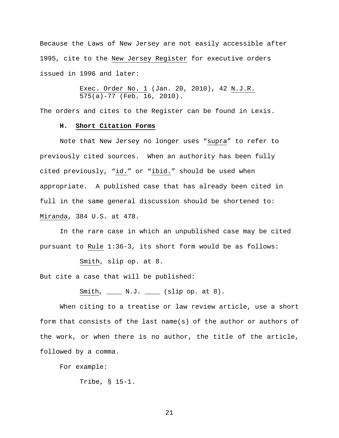Because the Laws of New Jersey are not easily accessible after 1995, cite to the New Jersey Register for executive orders issued in 1996 and later:

> Exec. Order No. 1 (Jan. 20, 2010), 42 N.J.R.  $\overline{575(a)-77}$  (Feb. 16, 2010).

The orders and cites to the Register can be found in Lexis.

## **H. Short Citation Forms**

 Note that New Jersey no longer uses "supra" to refer to previously cited sources. When an authority has been fully cited previously, "id." or "ibid." should be used when appropriate. A published case that has already been cited in full in the same general discussion should be shortened to: Miranda, 384 U.S. at 478.

 In the rare case in which an unpublished case may be cited pursuant to Rule 1:36-3, its short form would be as follows:

Smith, slip op. at 8.

But cite a case that will be published:

Smith,  $\frac{N.J.}{N.J.}$  (slip op. at 8).

 When citing to a treatise or law review article, use a short form that consists of the last name(s) of the author or authors of the work, or when there is no author, the title of the article, followed by a comma.

For example:

Tribe, § 15-1.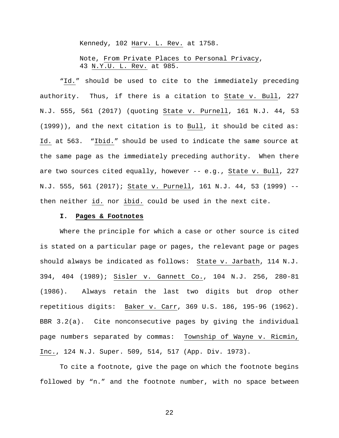Kennedy, 102 Harv. L. Rev. at 1758.

Note, From Private Places to Personal Privacy, 43 N.Y.U. L. Rev. at 985.

 "Id." should be used to cite to the immediately preceding authority. Thus, if there is a citation to State v. Bull, 227 N.J. 555, 561 (2017) (quoting State v. Purnell, 161 N.J. 44, 53 (1999)), and the next citation is to Bull, it should be cited as: Id. at 563. "Ibid." should be used to indicate the same source at the same page as the immediately preceding authority. When there are two sources cited equally, however  $- - e.g.,$  State v. Bull, 227 N.J. 555, 561 (2017); State v. Purnell, 161 N.J. 44, 53 (1999) - then neither id. nor ibid. could be used in the next cite.

## **I. Pages & Footnotes**

Where the principle for which a case or other source is cited is stated on a particular page or pages, the relevant page or pages should always be indicated as follows: State v. Jarbath, 114 N.J. 394, 404 (1989); Sisler v. Gannett Co., 104 N.J. 256, 280-81 (1986). Always retain the last two digits but drop other repetitious digits: Baker v. Carr, 369 U.S. 186, 195-96 (1962). BBR 3.2(a). Cite nonconsecutive pages by giving the individual page numbers separated by commas: Township of Wayne v. Ricmin, Inc., 124 N.J. Super. 509, 514, 517 (App. Div. 1973).

To cite a footnote, give the page on which the footnote begins followed by "n." and the footnote number, with no space between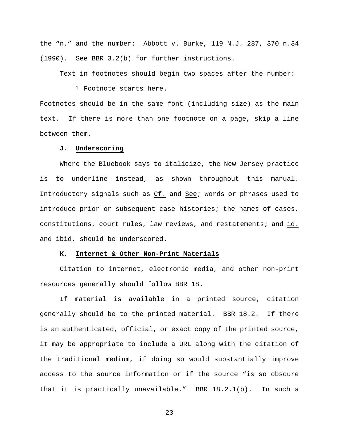the "n." and the number: Abbott v. Burke, 119 N.J. 287, 370 n.34 (1990). See BBR 3.2(b) for further instructions.

Text in footnotes should begin two spaces after the number:

<sup>1</sup> Footnote starts here.

Footnotes should be in the same font (including size) as the main text. If there is more than one footnote on a page, skip a line between them.

## **J. Underscoring**

Where the Bluebook says to italicize, the New Jersey practice is to underline instead, as shown throughout this manual. Introductory signals such as Cf. and See; words or phrases used to introduce prior or subsequent case histories; the names of cases, constitutions, court rules, law reviews, and restatements; and id. and ibid. should be underscored.

### **K. Internet & Other Non-Print Materials**

Citation to internet, electronic media, and other non-print resources generally should follow BBR 18.

If material is available in a printed source, citation generally should be to the printed material. BBR 18.2. If there is an authenticated, official, or exact copy of the printed source, it may be appropriate to include a URL along with the citation of the traditional medium, if doing so would substantially improve access to the source information or if the source "is so obscure that it is practically unavailable." BBR 18.2.1(b). In such a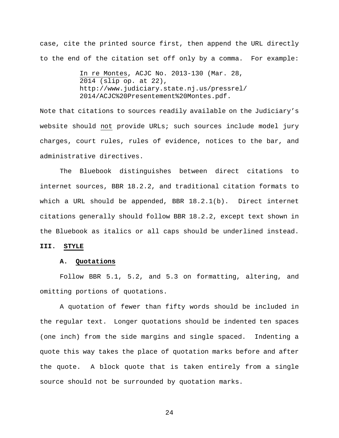case, cite the printed source first, then append the URL directly to the end of the citation set off only by a comma. For example:

> In re Montes, ACJC No. 2013-130 (Mar. 28, 2014 (slip op. at 22), http://www.judiciary.state.nj.us/pressrel/ 2014/ACJC%20Presentement%20Montes.pdf.

Note that citations to sources readily available on the Judiciary's website should not provide URLs; such sources include model jury charges, court rules, rules of evidence, notices to the bar, and administrative directives.

The Bluebook distinguishes between direct citations to internet sources, BBR 18.2.2, and traditional citation formats to which a URL should be appended, BBR 18.2.1(b). Direct internet citations generally should follow BBR 18.2.2, except text shown in the Bluebook as italics or all caps should be underlined instead.

#### **III. STYLE**

## **A. Quotations**

 Follow BBR 5.1, 5.2, and 5.3 on formatting, altering, and omitting portions of quotations.

A quotation of fewer than fifty words should be included in the regular text. Longer quotations should be indented ten spaces (one inch) from the side margins and single spaced. Indenting a quote this way takes the place of quotation marks before and after the quote. A block quote that is taken entirely from a single source should not be surrounded by quotation marks.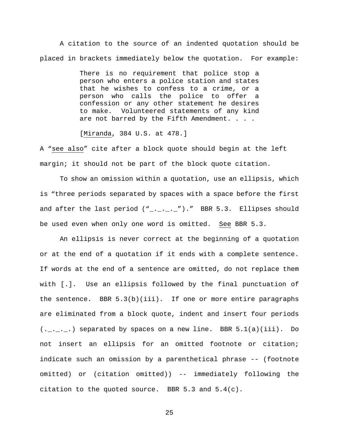A citation to the source of an indented quotation should be placed in brackets immediately below the quotation. For example:

> There is no requirement that police stop a person who enters a police station and states that he wishes to confess to a crime, or a person who calls the police to offer a confession or any other statement he desires Volunteered statements of any kind are not barred by the Fifth Amendment. . . .

[Miranda, 384 U.S. at 478.]

A "see also" cite after a block quote should begin at the left margin; it should not be part of the block quote citation.

To show an omission within a quotation, use an ellipsis, which is "three periods separated by spaces with a space before the first and after the last period  $("$ \_.\_.\_.\_")." BBR 5.3. Ellipses should be used even when only one word is omitted. See BBR 5.3.

An ellipsis is never correct at the beginning of a quotation or at the end of a quotation if it ends with a complete sentence. If words at the end of a sentence are omitted, do not replace them with [.]. Use an ellipsis followed by the final punctuation of the sentence. BBR  $5.3(b)(iii)$ . If one or more entire paragraphs are eliminated from a block quote, indent and insert four periods  $(......]$  separated by spaces on a new line. BBR 5.1(a)(iii). Do not insert an ellipsis for an omitted footnote or citation; indicate such an omission by a parenthetical phrase -- (footnote omitted) or (citation omitted)) -- immediately following the citation to the quoted source. BBR 5.3 and 5.4(c).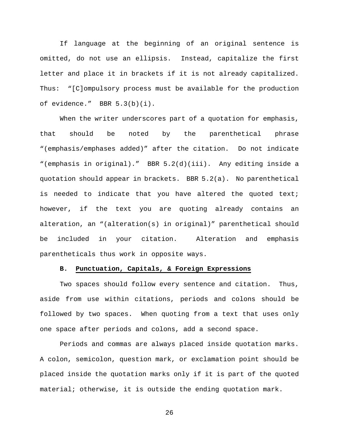If language at the beginning of an original sentence is omitted, do not use an ellipsis. Instead, capitalize the first letter and place it in brackets if it is not already capitalized. Thus: "[C]ompulsory process must be available for the production of evidence." BBR 5.3(b)(i).

When the writer underscores part of a quotation for emphasis, that should be noted by the parenthetical phrase "(emphasis/emphases added)" after the citation. Do not indicate "(emphasis in original)." BBR 5.2(d)(iii). Any editing inside a quotation should appear in brackets. BBR 5.2(a). No parenthetical is needed to indicate that you have altered the quoted text; however, if the text you are quoting already contains an alteration, an "(alteration(s) in original)" parenthetical should be included in your citation. Alteration and emphasis parentheticals thus work in opposite ways.

## **B. Punctuation, Capitals, & Foreign Expressions**

 Two spaces should follow every sentence and citation. Thus, aside from use within citations, periods and colons should be followed by two spaces. When quoting from a text that uses only one space after periods and colons, add a second space.

Periods and commas are always placed inside quotation marks. A colon, semicolon, question mark, or exclamation point should be placed inside the quotation marks only if it is part of the quoted material; otherwise, it is outside the ending quotation mark.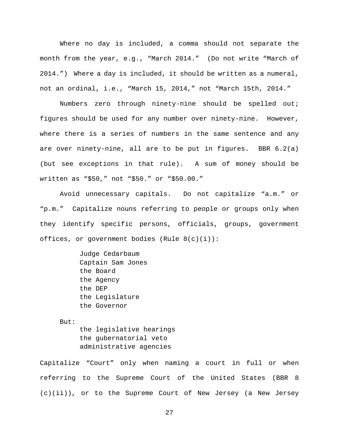Where no day is included, a comma should not separate the month from the year, e.g., "March 2014." (Do not write "March of 2014.") Where a day is included, it should be written as a numeral, not an ordinal, i.e., "March 15, 2014," not "March 15th, 2014."

Numbers zero through ninety-nine should be spelled out; figures should be used for any number over ninety-nine. However, where there is a series of numbers in the same sentence and any are over ninety-nine, all are to be put in figures. BBR 6.2(a) (but see exceptions in that rule). A sum of money should be written as "\$50," not "\$50." or "\$50.00."

Avoid unnecessary capitals. Do not capitalize "a.m." or "p.m." Capitalize nouns referring to people or groups only when they identify specific persons, officials, groups, government offices, or government bodies (Rule 8(c)(i)):

> Judge Cedarbaum Captain Sam Jones the Board the Agency the DEP the Legislature the Governor

But:

the legislative hearings the gubernatorial veto administrative agencies

Capitalize "Court" only when naming a court in full or when referring to the Supreme Court of the United States (BBR 8 (c)(ii)), or to the Supreme Court of New Jersey (a New Jersey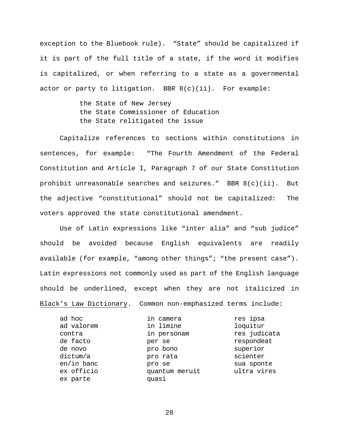exception to the Bluebook rule). "State" should be capitalized if it is part of the full title of a state, if the word it modifies is capitalized, or when referring to a state as a governmental actor or party to litigation. BBR  $8(c)(ii)$ . For example:

> the State of New Jersey the State Commissioner of Education the State relitigated the issue

Capitalize references to sections within constitutions in sentences, for example: "The Fourth Amendment of the Federal Constitution and Article I, Paragraph 7 of our State Constitution prohibit unreasonable searches and seizures." BBR  $8(c)(ii)$ . But the adjective "constitutional" should not be capitalized: The voters approved the state constitutional amendment.

Use of Latin expressions like "inter alia" and "sub judice" should be avoided because English equivalents are readily available (for example, "among other things"; "the present case"). Latin expressions not commonly used as part of the English language should be underlined, except when they are not italicized in Black's Law Dictionary. Common non-emphasized terms include:

| ad hoc       | in camera      | res ipsa     |
|--------------|----------------|--------------|
| ad valorem   | in limine      | loquitur     |
| contra       | in personam    | res judicata |
| de facto     | per se         | respondeat   |
| de novo      | pro bono       | superior     |
| dictum/a     | pro rata       | scienter     |
| $en/in$ banc | pro se         | sua sponte   |
| ex officio   | quantum meruit | ultra vires  |
| ex parte     | quasi          |              |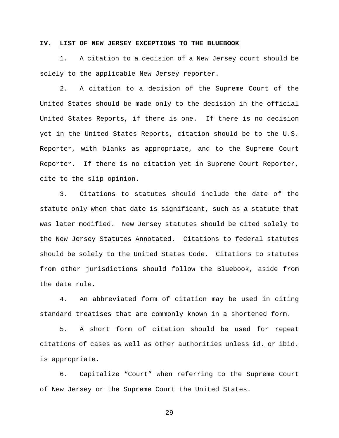#### **IV. LIST OF NEW JERSEY EXCEPTIONS TO THE BLUEBOOK**

 1. A citation to a decision of a New Jersey court should be solely to the applicable New Jersey reporter.

 2. A citation to a decision of the Supreme Court of the United States should be made only to the decision in the official United States Reports, if there is one. If there is no decision yet in the United States Reports, citation should be to the U.S. Reporter, with blanks as appropriate, and to the Supreme Court Reporter. If there is no citation yet in Supreme Court Reporter, cite to the slip opinion.

 3. Citations to statutes should include the date of the statute only when that date is significant, such as a statute that was later modified. New Jersey statutes should be cited solely to the New Jersey Statutes Annotated. Citations to federal statutes should be solely to the United States Code. Citations to statutes from other jurisdictions should follow the Bluebook, aside from the date rule.

 4. An abbreviated form of citation may be used in citing standard treatises that are commonly known in a shortened form.

 5. A short form of citation should be used for repeat citations of cases as well as other authorities unless id. or ibid. is appropriate.

6. Capitalize "Court" when referring to the Supreme Court of New Jersey or the Supreme Court the United States.